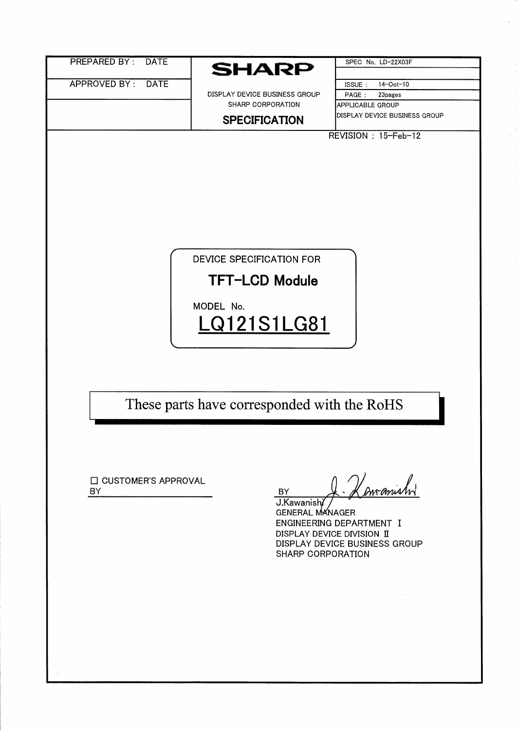| <b>PREPARED BY:</b><br><b>DATE</b> | <b>SHARP</b>                                                                         | SPEC No. LD-22X03F                                                                             |
|------------------------------------|--------------------------------------------------------------------------------------|------------------------------------------------------------------------------------------------|
| APPROVED BY:<br><b>DATE</b>        | DISPLAY DEVICE BUSINESS GROUP<br>SHARP CORPORATION<br><b>SPECIFICATION</b>           | 14-Oct-10<br>ISSUE:<br>PAGE:<br>23pages<br>APPLICABLE GROUP<br>DISPLAY DEVICE BUSINESS GROUP   |
|                                    | <b>DEVICE SPECIFICATION FOR</b><br><b>TFT-LCD Module</b><br>MODEL No.<br>LQ121S1LG81 | REVISION: 15-Feb-12                                                                            |
| □ CUSTOMER'S APPROVAL              | These parts have corresponded with the RoHS                                          | manish                                                                                         |
| BY                                 | <b>BY</b><br>J.Kawanishi<br><b>GENERAL MANAGER</b><br>SHARP CORPORATION              | ENGINEERING DEPARTMENT I<br>DISPLAY DEVICE DIVISION II<br><b>DISPLAY DEVICE BUSINESS GROUP</b> |

 $\ddot{\phantom{a}}$ 

 $\hat{\boldsymbol{\beta}}$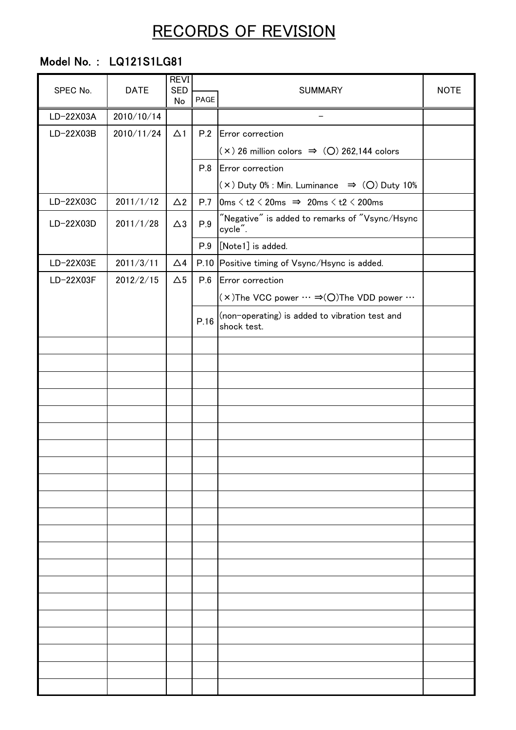# RECORDS OF REVISION

## Model No. : LQ121S1LG81

| SPEC No.  | <b>DATE</b> | <b>REVI</b><br><b>SED</b> |      |                                                                                                       |  | <b>NOTE</b><br><b>SUMMARY</b> |  |
|-----------|-------------|---------------------------|------|-------------------------------------------------------------------------------------------------------|--|-------------------------------|--|
|           |             | No                        | PAGE |                                                                                                       |  |                               |  |
| LD-22X03A | 2010/10/14  |                           |      | $\qquad \qquad -$                                                                                     |  |                               |  |
| LD-22X03B | 2010/11/24  | $\Delta$ 1                | P.2  | Error correction                                                                                      |  |                               |  |
|           |             |                           |      | $(x)$ 26 million colors $\Rightarrow$ (O) 262,144 colors                                              |  |                               |  |
|           |             |                           | P.8  | Error correction                                                                                      |  |                               |  |
|           |             |                           |      | $(x)$ Duty 0% : Min. Luminance $\Rightarrow$ (O) Duty 10%                                             |  |                               |  |
| LD-22X03C | 2011/1/12   | $\triangle$ 2             | P.7  | $\vert 0\mathrm{ms} \leq t2 \leq 20\mathrm{ms} \Rightarrow 20\mathrm{ms} \leq t2 \leq 200\mathrm{ms}$ |  |                               |  |
| LD-22X03D | 2011/1/28   | $\triangle 3$             | P.9  | "Negative" is added to remarks of "Vsync/Hsync<br>cycle".                                             |  |                               |  |
|           |             |                           | P.9  | [Note1] is added.                                                                                     |  |                               |  |
| LD-22X03E | 2011/3/11   | $\triangle 4$             |      | P.10 Positive timing of Vsync/Hsync is added.                                                         |  |                               |  |
| LD-22X03F | 2012/2/15   | $\Delta 5$                | P.6  | Error correction                                                                                      |  |                               |  |
|           |             |                           |      | $(x)$ The VCC power $\cdots \Rightarrow$ (O)The VDD power $\cdots$                                    |  |                               |  |
|           |             |                           | P.16 | (non-operating) is added to vibration test and<br>shock test.                                         |  |                               |  |
|           |             |                           |      |                                                                                                       |  |                               |  |
|           |             |                           |      |                                                                                                       |  |                               |  |
|           |             |                           |      |                                                                                                       |  |                               |  |
|           |             |                           |      |                                                                                                       |  |                               |  |
|           |             |                           |      |                                                                                                       |  |                               |  |
|           |             |                           |      |                                                                                                       |  |                               |  |
|           |             |                           |      |                                                                                                       |  |                               |  |
|           |             |                           |      |                                                                                                       |  |                               |  |
|           |             |                           |      |                                                                                                       |  |                               |  |
|           |             |                           |      |                                                                                                       |  |                               |  |
|           |             |                           |      |                                                                                                       |  |                               |  |
|           |             |                           |      |                                                                                                       |  |                               |  |
|           |             |                           |      |                                                                                                       |  |                               |  |
|           |             |                           |      |                                                                                                       |  |                               |  |
|           |             |                           |      |                                                                                                       |  |                               |  |
|           |             |                           |      |                                                                                                       |  |                               |  |
|           |             |                           |      |                                                                                                       |  |                               |  |
|           |             |                           |      |                                                                                                       |  |                               |  |
|           |             |                           |      |                                                                                                       |  |                               |  |
|           |             |                           |      |                                                                                                       |  |                               |  |
|           |             |                           |      |                                                                                                       |  |                               |  |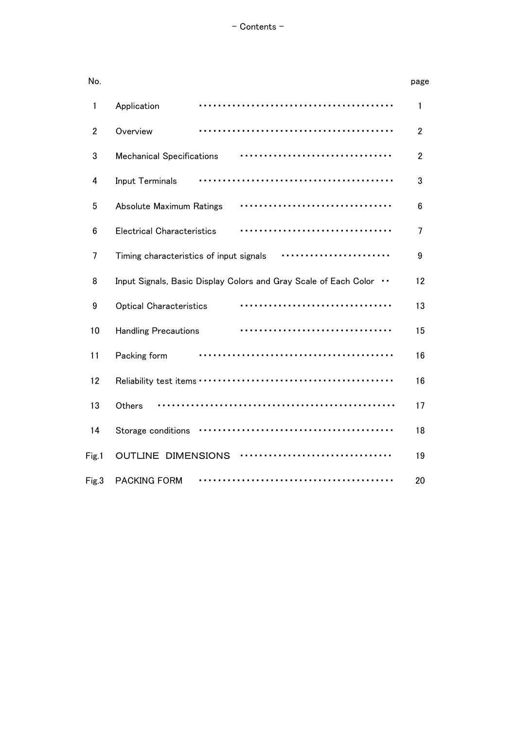### - Contents -

| No.            |                                                                                   | page           |
|----------------|-----------------------------------------------------------------------------------|----------------|
| 1              | Application                                                                       | 1              |
| $\overline{2}$ | Overview                                                                          | $\overline{2}$ |
| 3              | <b>Mechanical Specifications</b>                                                  | $\overline{2}$ |
| 4              | <b>Input Terminals</b>                                                            | 3              |
| 5              | Absolute Maximum Ratings                                                          | 6              |
| 6              | <b>Electrical Characteristics</b>                                                 | 7              |
| 7              | Timing characteristics of input signals                                           | 9              |
| 8              | Input Signals, Basic Display Colors and Gray Scale of Each Color<br>$\sim$ $\sim$ | 12             |
| 9              | <b>Optical Characteristics</b>                                                    | 13             |
| 10             | <b>Handling Precautions</b>                                                       | 15             |
| 11             | Packing form                                                                      | 16             |
| 12             |                                                                                   | 16             |
| 13             | Others                                                                            | 17             |
| 14             | Storage conditions                                                                | 18             |
| Fig.1          | <b>OUTLINE DIMENSIONS</b>                                                         | 19             |
| Fig.3          | <b>PACKING FORM</b><br>.                                                          | 20             |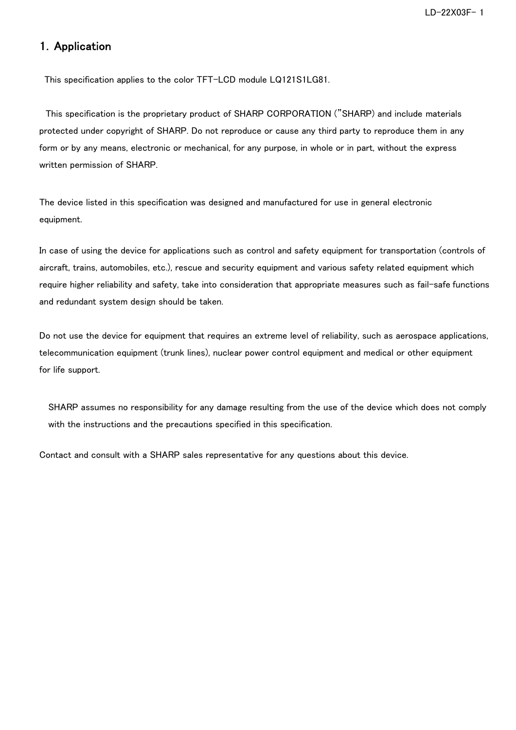### 1.Application

This specification applies to the color TFT-LCD module LQ121S1LG81.

 This specification is the proprietary product of SHARP CORPORATION ("SHARP) and include materials protected under copyright of SHARP. Do not reproduce or cause any third party to reproduce them in any form or by any means, electronic or mechanical, for any purpose, in whole or in part, without the express written permission of SHARP.

The device listed in this specification was designed and manufactured for use in general electronic equipment.

In case of using the device for applications such as control and safety equipment for transportation (controls of aircraft, trains, automobiles, etc.), rescue and security equipment and various safety related equipment which require higher reliability and safety, take into consideration that appropriate measures such as fail-safe functions and redundant system design should be taken.

Do not use the device for equipment that requires an extreme level of reliability, such as aerospace applications, telecommunication equipment (trunk lines), nuclear power control equipment and medical or other equipment for life support.

SHARP assumes no responsibility for any damage resulting from the use of the device which does not comply with the instructions and the precautions specified in this specification.

Contact and consult with a SHARP sales representative for any questions about this device.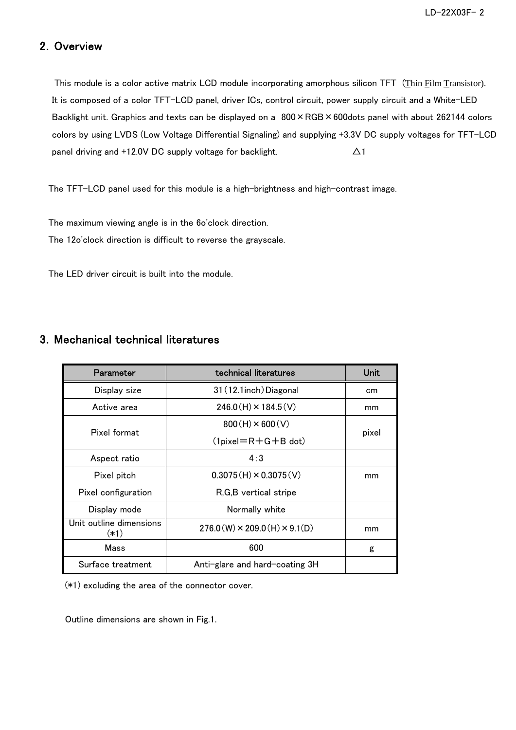### 2.Overview

 This module is a color active matrix LCD module incorporating amorphous silicon TFT (Thin Film Transistor). It is composed of a color TFT-LCD panel, driver ICs, control circuit, power supply circuit and a White-LED Backlight unit. Graphics and texts can be displayed on a  $800 \times \text{RGB} \times 600$ dots panel with about 262144 colors colors by using LVDS (Low Voltage Differential Signaling) and supplying +3.3V DC supply voltages for TFT-LCD panel driving and +12.0V DC supply voltage for backlight.  $\Delta 1$ 

The TFT-LCD panel used for this module is a high-brightness and high-contrast image.

The maximum viewing angle is in the 6o'clock direction.

The 12o'clock direction is difficult to reverse the grayscale.

The LED driver circuit is built into the module.

#### Pixel pitch Aspect ratio Pixel format Active area Display size Parameter and technical literatures 31(12.1inch)Diagonal Pixel configuration  $276.0(W) \times 209.0(H) \times 9.1(D)$ 600 Anti-glare and hard-coating 3H Normally white Surface treatment Mass Unit outline dimensions (\*1) Display mode  $246.0(H) \times 184.5(V)$  $800(H) \times 600(V)$  $(Ipixel=R+G+B$  dot) R,G,B vertical stripe  $0.3075(H) \times 0.3075(V)$ 4:3 Unit cm mm pixel mm g mm

### 3.Mechanical technical literatures

(\*1) excluding the area of the connector cover.

Outline dimensions are shown in Fig.1.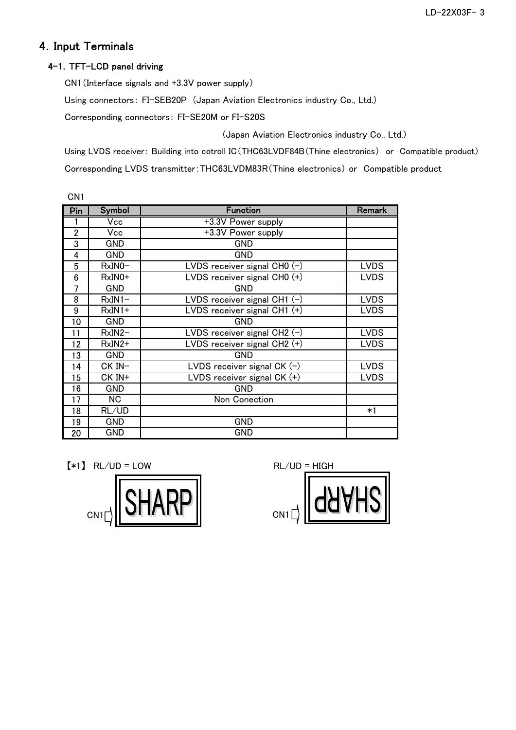## 4.Input Terminals

### 4-1.TFT-LCD panel driving

CN1(Interface signals and +3.3V power supply)

Using connectors: FI-SEB20P (Japan Aviation Electronics industry Co., Ltd.)

Corresponding connectors: FI-SE20M or FI-S20S

(Japan Aviation Electronics industry Co., Ltd.)

Using LVDS receiver: Building into cotroll IC(THC63LVDF84B(Thine electronics) or Compatible product) Corresponding LVDS transmitter:THC63LVDM83R(Thine electronics) or Compatible product

| CN <sub>1</sub> |               |                                                  |               |
|-----------------|---------------|--------------------------------------------------|---------------|
| Pin             | <b>Symbol</b> | <b>Function</b>                                  | <b>Remark</b> |
|                 | Vcc           | +3.3V Power supply                               |               |
| $\overline{2}$  | Vcc           | +3.3V Power supply                               |               |
| 3               | <b>GND</b>    | <b>GND</b>                                       |               |
| 4               | <b>GND</b>    | <b>GND</b>                                       |               |
| 5               | $RxINO-$      | LVDS receiver signal CH0 (-)                     | <b>LVDS</b>   |
| 6               | $RxINO+$      | LVDS receiver signal CH0 (+)                     | <b>LVDS</b>   |
| 7               | <b>GND</b>    | <b>GND</b>                                       |               |
| 8               | $RxIN1-$      | $\overline{\text{LVDS}}$ receiver signal CH1 (-) | <b>LVDS</b>   |
| 9               | $RxIN1+$      | LVDS receiver signal CH1 (+)                     | <b>LVDS</b>   |
| 10              | <b>GND</b>    | <b>GND</b>                                       |               |
| 11              | $RxIN2-$      | LVDS receiver signal CH2 $(-)$                   | <b>LVDS</b>   |
| 12              | $RxIN2+$      | LVDS receiver signal CH2 $(+)$                   | <b>LVDS</b>   |
| 13              | <b>GND</b>    | <b>GND</b>                                       |               |
| 14              | $CK$ $IN-$    | LVDS receiver signal CK $(-)$                    | <b>LVDS</b>   |
| 15              | CK IN+        | LVDS receiver signal $CK (+)$                    | <b>LVDS</b>   |
| 16              | <b>GND</b>    | <b>GND</b>                                       |               |
| 17              | <b>NC</b>     | Non Conection                                    |               |
| 18              | RL/UD         |                                                  | *1            |
| 19              | <b>GND</b>    | <b>GND</b>                                       |               |
| 20              | GND           | <b>GND</b>                                       |               |

 $[*1]$  RL/UD = LOW RL/UD = HIGH



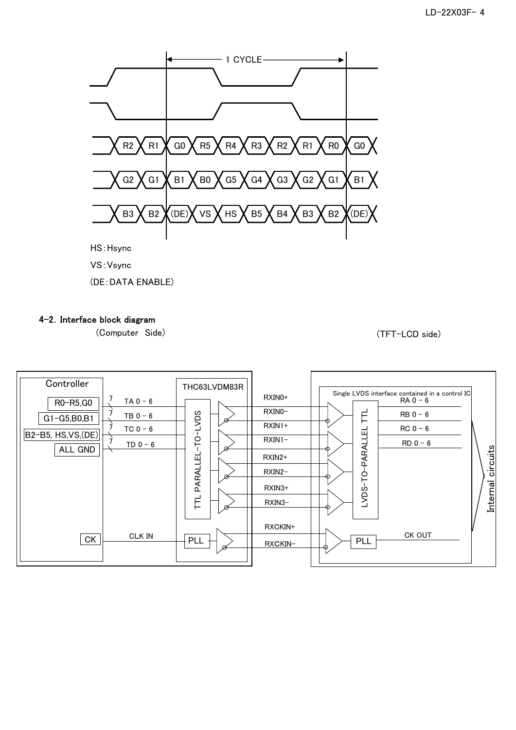

- VS:Vsync
- (DE:DATA ENABLE)

### 4-2.Interface block diagram

(Computer Side) (TFT-LCD side)

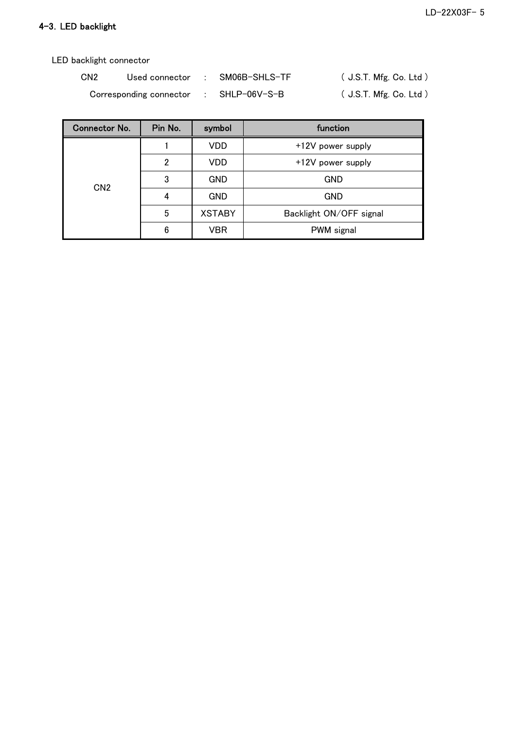### 4-3.LED backlight

LED backlight connector

| CN <sub>2</sub> | Used connector          | SM06B-SHLS-TF | (J.S.T. Mfg. Co. Ltd.)      |
|-----------------|-------------------------|---------------|-----------------------------|
|                 | Corresponding connector | SHLP-06V-S-B  | $($ J.S.T. Mfg. Co. Ltd $)$ |

| <b>Connector No.</b> | Pin No. | symbol        | function                |
|----------------------|---------|---------------|-------------------------|
| CN <sub>2</sub>      |         | VDD           | +12V power supply       |
|                      | 2       | <b>VDD</b>    | +12V power supply       |
|                      | 3       | <b>GND</b>    | <b>GND</b>              |
|                      |         | <b>GND</b>    | <b>GND</b>              |
|                      | 5       | <b>XSTABY</b> | Backlight ON/OFF signal |
|                      | 6       | VBR           | PWM signal              |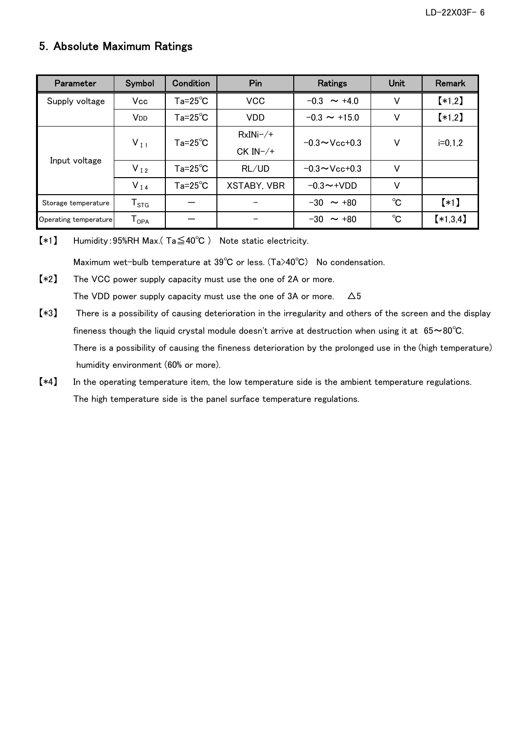## 5.Absolute Maximum Ratings

| Parameter             | Symbol                       | Condition                        | Pin<br>Ratings     |                                 | <b>Unit</b> | Remark             |
|-----------------------|------------------------------|----------------------------------|--------------------|---------------------------------|-------------|--------------------|
| Supply voltage        | Vcc                          | $Ta = 25^{\circ}C$<br><b>VCC</b> |                    | $-0.3 \sim +4.0$                | V           | $*1,2]$            |
|                       | V <sub>DD</sub>              | $Ta = 25^{\circ}C$               | <b>VDD</b>         | $-0.3 \sim +15.0$               | V           | $*1,2]$            |
|                       |                              | $Ta = 25^{\circ}C$               | $RxINi-/+$         | $-0.3 \sim$ Vcc+0.3             |             |                    |
| Input voltage         | $V_{I1}$                     |                                  | $CK IN-/+$         |                                 | V           | $i=0,1,2$          |
|                       | $V_{I2}$                     | $Ta = 25^{\circ}C$               | RL/UD              | $-0.3 \sim$ Vcc+0.3             | V           |                    |
|                       | $V_{I4}$                     | $Ta = 25^{\circ}C$               | <b>XSTABY, VBR</b> | $-0.3 \rightarrow + \text{VDD}$ | V           |                    |
| Storage temperature   | ${\mathsf T}_{\texttt{STG}}$ |                                  |                    | $-30 \sim +80$                  | $^{\circ}C$ | $\left[ *1\right]$ |
| Operating temperature | ${\mathsf T}_{\mathsf{OPA}}$ |                                  |                    | $-30 \sim +80$                  | $^{\circ}C$ | $*1,3,4]$          |

【\*1】 Humidity:95%RH Max.( Ta≦40℃ ) Note static electricity.

Maximum wet-bulb temperature at 39℃ or less. (Ta>40℃) No condensation.

【\*2】 The VCC power supply capacity must use the one of 2A or more. The VDD power supply capacity must use the one of 3A or more.  $\Delta 5$ 

- 【\*3】 There is a possibility of causing deterioration in the irregularity and others of the screen and the display fineness though the liquid crystal module doesn't arrive at destruction when using it at  $65~\sim80^{\circ}$ C. There is a possibility of causing the fineness deterioration by the prolonged use in the (high temperature) humidity environment (60% or more).
- 【\*4】 In the operating temperature item, the low temperature side is the ambient temperature regulations. The high temperature side is the panel surface temperature regulations.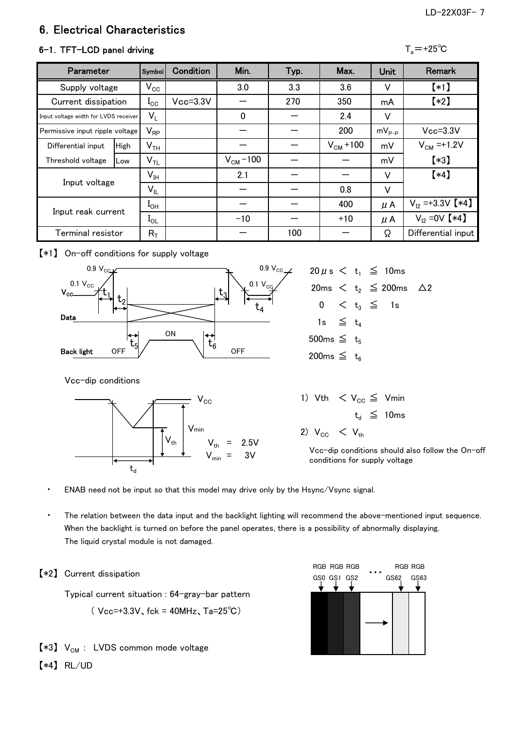### LD-22X03F- 7

## 6.Electrical Characteristics

### $6-1$ . TFT-LCD panel driving

| 71<br>ю |  |
|---------|--|
|---------|--|

| Parameter                             |             | <b>Symbol</b>              | Condition    | Min.          | Typ. | Max.          | <b>Unit</b> | <b>Remark</b>         |
|---------------------------------------|-------------|----------------------------|--------------|---------------|------|---------------|-------------|-----------------------|
| Supply voltage                        |             | $V_{\rm CC}$               |              | 3.0           | 3.3  | 3.6           | V           | $(*1)$                |
| Current dissipation                   |             | $I_{\rm CC}$               | $Vcc = 3.3V$ |               | 270  | 350           | mA          | $[*2]$                |
| Input voltage width for LVDS receiver |             | $V_{L}$                    |              | $\Omega$      |      | 2.4           | v           |                       |
| Permissive input ripple voltage       |             | $\mathsf{V}_{\mathsf{RP}}$ |              |               |      | 200           | $mV_{P-P}$  | $Vcc = 3.3V$          |
| Differential input                    | <b>High</b> | $\mathsf{V}_{\mathsf{TH}}$ |              |               |      | $V_{CM}$ +100 | mV          | $V_{CM} = +1.2V$      |
| Threshold voltage                     | Low         | $\mathsf{V}_{\mathsf{TL}}$ |              | $V_{CM}$ –100 |      |               | mV          | $*3]$                 |
| Input voltage                         |             | $\mathsf{V}_{\mathsf{IH}}$ |              | 2.1           |      |               | v           | $[*4]$                |
|                                       |             | $V_{IL}$                   |              |               |      | 0.8           | V           |                       |
|                                       |             | $I_{OH}$                   |              |               |      | 400           | $\mu$ A     | $V_{12} = +3.3V$ [*4] |
| Input reak current                    |             | $I_{\text{O}}$             |              | $-10$         |      | $+10$         | $\mu$ A     | $V_{12} = 0V$ [*4]    |
| Terminal resistor                     |             | $R_T$                      |              |               | 100  |               | Ω           | Differential input    |

### 【\*1】 On-off conditions for supply voltage



Vcc-dip conditions



|                    |  | $20 \mu s < t_1 \leq 10$ ms              |  |
|--------------------|--|------------------------------------------|--|
|                    |  | 20ms $\lt t_2 \leq 200$ ms $\triangle$ 2 |  |
|                    |  | $0 \leq t_{3} \leq 1$ s                  |  |
| 1s $\leq t_4$      |  |                                          |  |
| 500ms $\leq t_{5}$ |  |                                          |  |
| 200ms $\leq t_{6}$ |  |                                          |  |

1) Vth  $\langle V_{CC} \leq V_{min}$  $t_d \leq 10$ ms 2)  $V_{CC}$  <  $V_{th}$ 

Vcc-dip conditions should also follow the On-off conditions for supply voltage

- ENAB need not be input so that this model may drive only by the Hsync/Vsync signal.
- The relation between the data input and the backlight lighting will recommend the above-mentioned input sequence. When the backlight is turned on before the panel operates, there is a possibility of abnormally displaying. The liquid crystal module is not damaged.

### 【\*2】 Current dissipation

Typical current situation : 64-gray-bar pattern

 $($  Vcc=+3.3V, fck = 40MHz, Ta=25°C)

- $[*3]$  V<sub>CM</sub> : LVDS common mode voltage
- 【\*4】 RL/UD

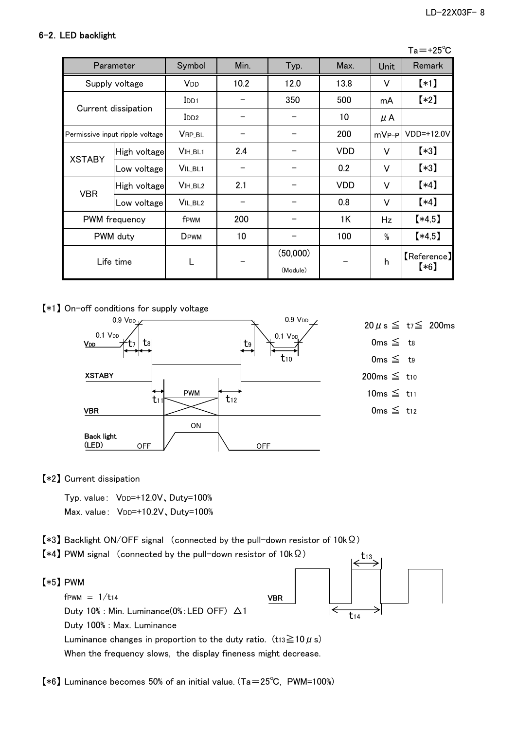### 6-2.LED backlight

| Parameter     |                                 | Symbol              | Min. | Typ.                 | Max.       | Unit              | Remark                |
|---------------|---------------------------------|---------------------|------|----------------------|------------|-------------------|-----------------------|
|               | Supply voltage                  | V <sub>DD</sub>     | 10.2 | 12.0                 | 13.8       | V                 | $(*1)$                |
|               |                                 | $_{\text{IDD1}}$    |      | 350                  | 500        | mA                | $(*2)$                |
|               | Current dissipation             | I <sub>DD2</sub>    |      |                      | 10         | $\mu$ A           |                       |
|               | Permissive input ripple voltage | VRP_BL              |      |                      | 200        | mV <sub>P-P</sub> | VDD=+12.0V            |
|               | High voltage                    | V <sub>IH</sub> BL1 | 2.4  |                      | <b>VDD</b> | V                 | $(*3)$                |
| <b>XSTABY</b> | Low voltage                     | VIL_BL1             |      |                      | 0.2        | V                 | $\left[ *3\right]$    |
| <b>VBR</b>    | High voltage                    | V <sub>IH</sub> BL2 | 2.1  |                      | <b>VDD</b> | V                 | $(*4)$                |
|               | Low voltage                     | VIL_BL <sub>2</sub> |      |                      | 0.8        | V                 | $(*4)$                |
| PWM frequency |                                 | f <sub>PWM</sub>    | 200  |                      | 1K         | Hz                | $*4,5]$               |
| PWM duty      |                                 | DPWM                | 10   |                      | 100        | %                 | $*4,5]$               |
|               | Life time                       | L                   |      | (50,000)<br>(Module) |            | h                 | [Reference]<br>$(*6)$ |

【\*1】 On-off conditions for supply voltage



【\*2】 Current dissipation

Typ. value: VDD=+12.0V, Duty=100% Max. value: VDD=+10.2V, Duty=100%

- 【\*3】 Backlight ON/OFF signal (connected by the pull-down resistor of 10kΩ)
- 【\*4】 PWM signal (connected by the pull-down resistor of 10kΩ)
- 【\*5】 PWM

 $f$ PWM =  $1/t$ 14

Duty 10% : Min. Luminance(0%:LED OFF) △1 Duty 100% : Max. Luminance Luminance changes in proportion to the duty ratio.  $(t_{13} \ge 10 \mu s)$ When the frequency slows, the display fineness might decrease.



t13

【\*6】 Luminance becomes 50% of an initial value. (Ta=25℃, PWM=100%)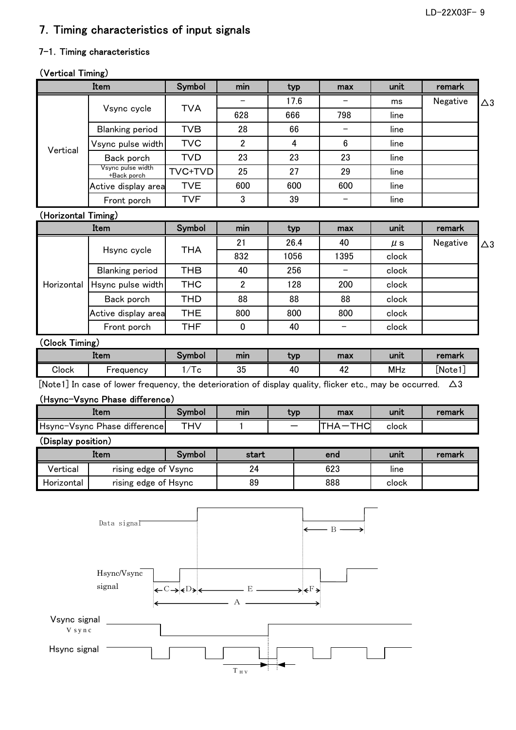## 7.Timing characteristics of input signals

### 7-1. Timing characteristics

## (Vertical Timing)

|                     | Item                                                                                                                   | Symbol                                                                                              | min            | typ                 | max            | unit       | remark   |               |
|---------------------|------------------------------------------------------------------------------------------------------------------------|-----------------------------------------------------------------------------------------------------|----------------|---------------------|----------------|------------|----------|---------------|
|                     |                                                                                                                        |                                                                                                     |                | 17.6                |                | ms         | Negative | $\triangle 3$ |
|                     | Vsync cycle                                                                                                            | <b>TVA</b>                                                                                          | 628            | 666                 | 798            | line       |          |               |
|                     | <b>Blanking period</b>                                                                                                 | <b>TVB</b>                                                                                          | 28             | 66                  |                | line       |          |               |
|                     | Vsync pulse width                                                                                                      | <b>TVC</b>                                                                                          | $\overline{2}$ | $\overline{4}$      | $6\phantom{.}$ | line       |          |               |
| Vertical            | Back porch                                                                                                             | <b>TVD</b>                                                                                          | 23             | 23                  | 23             | line       |          |               |
|                     | Vsync pulse width<br>+Back porch                                                                                       | TVC+TVD                                                                                             | 25             | 27                  | 29             | line       |          |               |
|                     | Active display area                                                                                                    | <b>TVE</b>                                                                                          | 600            | 600                 | 600            | line       |          |               |
|                     | Front porch                                                                                                            | <b>TVF</b>                                                                                          | 3              | 39                  |                | line       |          |               |
| (Horizontal Timing) |                                                                                                                        |                                                                                                     |                |                     |                |            |          |               |
|                     | Item                                                                                                                   | Symbol                                                                                              | min            | typ                 | max            | unit       | remark   |               |
|                     |                                                                                                                        |                                                                                                     | 21             | 26.4                | 40             | $\mu$ s    | Negative | $\triangle 3$ |
|                     | Hsync cycle                                                                                                            | <b>THA</b>                                                                                          | 832            | 1056                | 1395           | clock      |          |               |
|                     | <b>Blanking period</b>                                                                                                 | <b>THB</b>                                                                                          | 40             | 256                 |                | clock      |          |               |
| Horizontal          | Hsync pulse width                                                                                                      | <b>THC</b>                                                                                          | $\overline{2}$ | 128                 | 200            | clock      |          |               |
|                     | Back porch                                                                                                             | <b>THD</b>                                                                                          | 88             | 88                  | 88             | clock      |          |               |
|                     | Active display area                                                                                                    | <b>THE</b>                                                                                          | 800            | 800                 | 800            | clock      |          |               |
|                     | Front porch                                                                                                            | <b>THF</b>                                                                                          | 0              | 40                  | —              | clock      |          |               |
| (Clock Timing)      |                                                                                                                        |                                                                                                     |                |                     |                |            |          |               |
|                     | Item                                                                                                                   | <b>Symbol</b>                                                                                       | min            | typ                 | max            | unit       | remark   |               |
| Clock               | Frequency                                                                                                              | 1/Tc                                                                                                | 35             | 40                  | 42             | <b>MHz</b> | [Note1]  |               |
|                     | [Note1] In case of lower frequency, the deterioration of display quality, flicker etc., may be occurred. $\triangle 3$ |                                                                                                     |                |                     |                |            |          |               |
|                     | (Hsync-Vsync Phase difference)                                                                                         |                                                                                                     |                |                     |                |            |          |               |
|                     | Item                                                                                                                   | Symbol                                                                                              | min            | typ                 | max            | unit       | remark   |               |
|                     | Hsync-Vsync Phase difference                                                                                           | <b>THV</b>                                                                                          | 1              |                     | THA-THC        | clock      |          |               |
| (Display position)  |                                                                                                                        |                                                                                                     |                |                     |                |            |          |               |
|                     | Item                                                                                                                   | Symbol                                                                                              | start          |                     | end            | unit       | remark   |               |
| Vertical            | rising edge of Vsync                                                                                                   |                                                                                                     | 24             |                     | 623            | line       |          |               |
| Horizontal          | rising edge of Hsync                                                                                                   |                                                                                                     | 89             |                     | 888            | clock      |          |               |
|                     | Data signal<br>Hsync/Vsync<br>signal                                                                                   | $\leftarrow$ C $\rightarrow$ $\leftarrow$ D $\leftarrow$ $\leftarrow$ $\rightarrow$ E $\rightarrow$ |                | $\longrightarrow F$ | $- B$ .        |            |          |               |

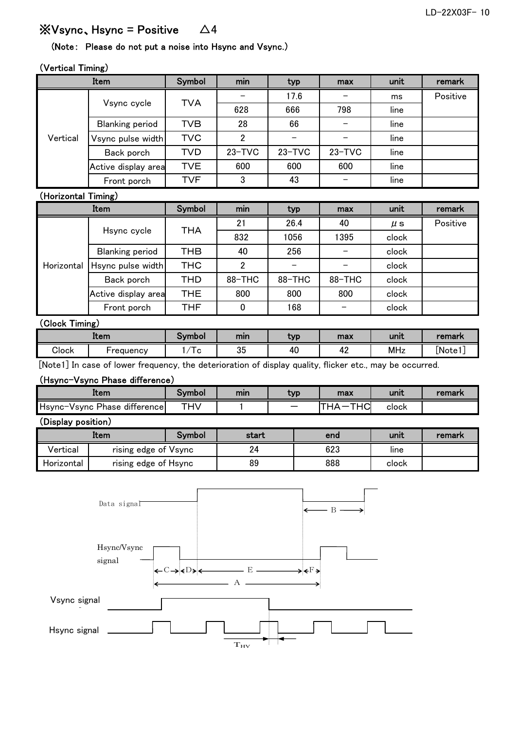## $\mathbb{\mathsf{X}}$ Vsync、Hsync = Positive  $\Delta 4$

### (Note: Please do not put a noise into Hsync and Vsync.)

### (Vertical Timing)

|          | Item                   | Symbol     | . .<br>min | typ        | max        | unit | remark   |
|----------|------------------------|------------|------------|------------|------------|------|----------|
|          |                        | <b>TVA</b> |            | 17.6       |            | ms   | Positive |
|          | Vsync cycle            |            | 628        | 666        | 798        | line |          |
|          | <b>Blanking period</b> | <b>TVB</b> | 28         | 66         |            | line |          |
| Vertical | Vsync pulse width      | <b>TVC</b> | 2          |            |            | line |          |
|          | Back porch             | TVD        | $23 - TVC$ | $23 - TVC$ | $23 - TVC$ | line |          |
|          | Active display area    | TVE        | 600        | 600        | 600        | line |          |
|          | Front porch            | <b>TVF</b> | 3          | 43         |            | line |          |

### (Horizontal Timing)

|            | Item                   | Symbol     | min            | typ    | max    | unit    | remark   |  |  |  |
|------------|------------------------|------------|----------------|--------|--------|---------|----------|--|--|--|
| Horizontal |                        | <b>THA</b> | 21             | 26.4   | 40     | $\mu$ s | Positive |  |  |  |
|            | Hsync cycle            |            | 832            | 1056   | 1395   | clock   |          |  |  |  |
|            | <b>Blanking period</b> | THB        | 40             | 256    |        | clock   |          |  |  |  |
|            | Hsync pulse width      | <b>THC</b> | $\overline{2}$ |        |        | clock   |          |  |  |  |
|            | Back porch             | THD        | 88-THC         | 88-THC | 88-THC | clock   |          |  |  |  |
|            | Active display area    | THE.       | 800            | 800    | 800    | clock   |          |  |  |  |
|            | Front porch            | <b>THF</b> | $\Omega$       | 168    |        | clock   |          |  |  |  |
|            | (Clock Timing)         |            |                |        |        |         |          |  |  |  |
|            | Item                   | Symbol     | min            | typ    | max    | unit    | remark   |  |  |  |

|          | item                                              | OVMDOI | mın                                 | TVI                                                           | max                                     | unıt | remark |
|----------|---------------------------------------------------|--------|-------------------------------------|---------------------------------------------------------------|-----------------------------------------|------|--------|
| Clock    | ·reauencv                                         | v      | OE.<br>ັບປ                          | 40                                                            | $\sim$<br>. .                           | MHz  | Note : |
| . .<br>. | ___<br><b>Contract Contract Contract Contract</b> |        | the contract of the contract of the | the company's company's com-<br>the control of the control of | the property of the control of the con- |      |        |

[Note1] In case of lower frequency, the deterioration of display quality, flicker etc., may be occurred.

### (Hsync-Vsync Phase difference)

| Item                                      | ivmbol     | mın | typ | max                                    | unıt  | remark |
|-------------------------------------------|------------|-----|-----|----------------------------------------|-------|--------|
| difference<br>Hsync-Vsync<br><b>Phase</b> | <b>THV</b> |     | –   | <b>TIIO</b><br>$\lambda$<br>$\sqrt{2}$ | clock |        |

### (Display position)

|            | Item                 | Svmbol | start | end | unit  | remark |
|------------|----------------------|--------|-------|-----|-------|--------|
| Vertical   | rising edge of Vsync |        | 24    | 623 | line  |        |
| Horizontal | rising edge of Hsync |        | 89    | 888 | clock |        |

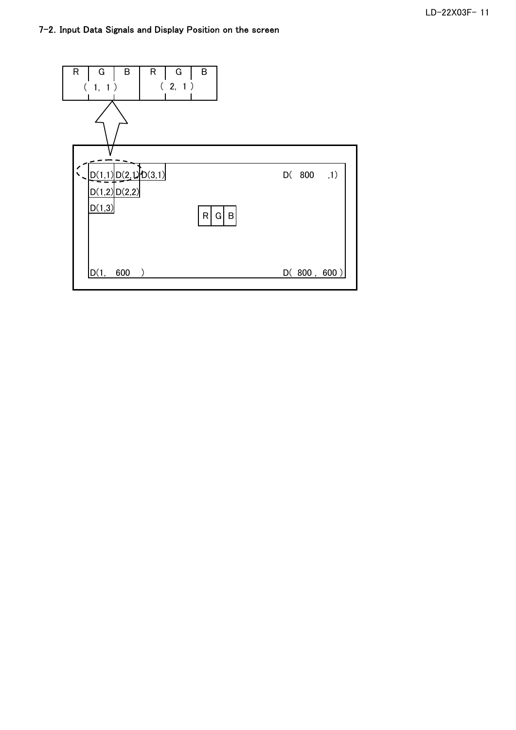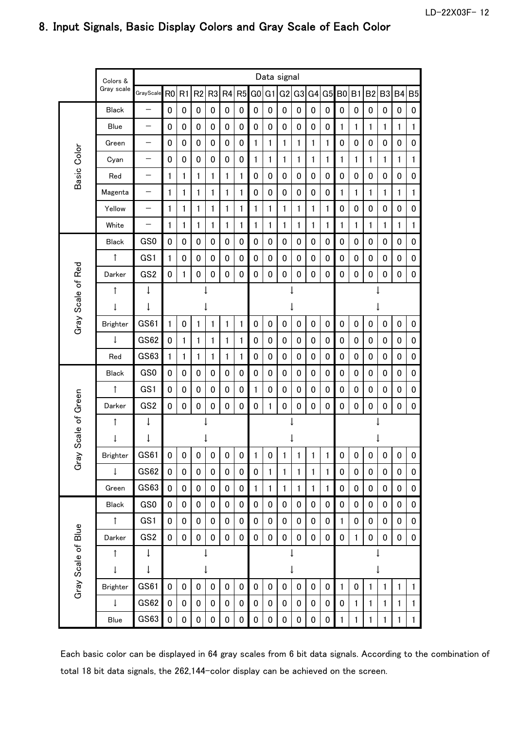|                    | Colors &        |                 |                |             |                |                |             |           |                |                | Data signal    |                |              |              |                |              |                |                |           |                |
|--------------------|-----------------|-----------------|----------------|-------------|----------------|----------------|-------------|-----------|----------------|----------------|----------------|----------------|--------------|--------------|----------------|--------------|----------------|----------------|-----------|----------------|
|                    | Gray scale      | GrayScale       | R <sub>0</sub> | R1          | R <sub>2</sub> | R <sub>3</sub> | R4          | R5        | G <sub>0</sub> | G <sub>1</sub> | G <sub>2</sub> | G <sub>3</sub> | G4           | G5           | B <sub>0</sub> | B1           | B <sub>2</sub> | B <sub>3</sub> | <b>B4</b> | B <sub>5</sub> |
|                    | <b>Black</b>    | —               | 0              | 0           | $\pmb{0}$      | 0              | $\mathbf 0$ | 0         | $\pmb{0}$      | 0              | $\pmb{0}$      | 0              | 0            | 0            | 0              | 0            | 0              | 0              | 0         | 0              |
|                    | Blue            | —               | 0              | 0           | 0              | 0              | 0           | 0         | 0              | 0              | 0              | 0              | 0            | 0            | 1              | 1            | 1              | 1              | 1         | 1              |
|                    | Green           | —               | 0              | 0           | 0              | 0              | 0           | 0         | 1              | 1              | 1              | 1              | 1            | 1            | 0              | 0            | 0              | 0              | 0         | 0              |
| Basic Color        | Cyan            | —               | 0              | 0           | 0              | 0              | 0           | 0         | 1              | 1              | 1              | 1              | 1            | 1            | 1              | 1            | 1              | 1              | 1         | 1              |
|                    | Red             | —               | 1              | 1           | 1              | 1              | 1           | 1         | 0              | 0              | $\mathbf 0$    | 0              | 0            | 0            | 0              | 0            | 0              | 0              | 0         | 0              |
|                    | Magenta         | —               | 1              | 1           | 1              | 1              | 1           | 1         | $\pmb{0}$      | 0              | 0              | 0              | 0            | 0            | 1              | $\mathbf{1}$ | 1              | 1              | 1         | 1              |
|                    | Yellow          | —               | 1              | 1           | 1              | 1              | 1           | 1         | 1              | 1              | 1              | 1              | 1            | $\mathbf{1}$ | 0              | 0            | 0              | 0              | 0         | 0              |
|                    | White           | —               | 1              | 1           | 1              | 1              | 1           | 1         | 1              | 1              | 1              | 1              | 1            | 1            | 1              | 1            | 1              | 1              | 1         | 1              |
|                    | <b>Black</b>    | GS <sub>0</sub> | 0              | 0           | 0              | 0              | 0           | 0         | 0              | 0              | 0              | 0              | 0            | 0            | 0              | 0            | 0              | 0              | 0         | 0              |
|                    | ↑               | GS1             | 1              | 0           | 0              | 0              | 0           | 0         | 0              | 0              | 0              | 0              | 0            | 0            | 0              | 0            | 0              | 0              | 0         | 0              |
|                    | Darker          | GS <sub>2</sub> | 0              | 1           | 0              | 0              | 0           | 0         | 0              | 0              | $\pmb{0}$      | 0              | 0            | 0            | 0              | 0            | 0              | 0              | 0         | 0              |
|                    | ↑               | ↓               |                |             |                |                |             |           |                |                |                |                |              |              |                |              |                |                |           |                |
| Gray Scale of Red  | t               | ↓               |                |             |                |                |             |           |                |                |                |                |              |              |                |              |                |                |           |                |
|                    | <b>Brighter</b> | GS61            | 1              | 0           | 1              | 1              | 1           | 1         | $\pmb{0}$      | $\pmb{0}$      | $\pmb{0}$      | 0              | 0            | 0            | 0              | 0            | $\pmb{0}$      | 0              | 0         | 0              |
|                    | $\downarrow$    | GS62            | 0              | 1           | 1              | 1              | 1           | 1         | 0              | 0              | 0              | 0              | 0            | 0            | 0              | 0            | 0              | 0              | 0         | 0              |
|                    | Red             | GS63            | 1              | 1           | 1              | 1              | 1           | 1         | $\mathbf 0$    | 0              | 0              | 0              | 0            | 0            | 0              | 0            | 0              | 0              | 0         | 0              |
|                    | <b>Black</b>    | GS0             | 0              | 0           | 0              | 0              | 0           | 0         | $\pmb{0}$      | 0              | 0              | 0              | 0            | 0            | 0              | 0            | 0              | 0              | 0         | 0              |
|                    | ↑               | GS1             | $\pmb{0}$      | 0           | $\mathbf 0$    | 0              | $\mathbf 0$ | 0         | 1              | 0              | 0              | 0              | 0            | 0            | 0              | 0            | 0              | $\pmb{0}$      | 0         | 0              |
| Scale of Green     | Darker          | GS <sub>2</sub> | $\mathbf 0$    | 0           | $\pmb{0}$      | 0              | 0           | 0         | $\mathbf 0$    | $\mathbf{1}$   | $\pmb{0}$      | 0              | $\mathbf 0$  | 0            | $\pmb{0}$      | 0            | 0              | 0              | 0         | 0              |
|                    | ↑               | ↓               |                |             |                |                |             |           |                |                |                |                |              |              |                |              |                |                |           |                |
|                    | ţ               | ↓               |                |             |                |                |             |           |                |                |                |                |              |              |                |              |                |                |           |                |
| Gray               | <b>Brighter</b> | GS61            | 0              | 0           | 0              | 0              | 0           | 0         | 1              | 0              | 1              | 1              | 1            | 1            | 0              | 0            | 0              | 0              | 0         | 0              |
|                    | $\downarrow$    | GS62            | 0              | 0           | 0              | 0              | $\pmb{0}$   | $\pmb{0}$ | $\pmb{0}$      | 1              | 1              | 1              | 1            | 1            | 0              | 0            | 0              | $\pmb{0}$      | 0         | 0              |
|                    | Green           | GS63            | 0              | 0           | $\pmb{0}$      | 0              | $\pmb{0}$   | $\pmb{0}$ | 1              | $\mathbf{1}$   | 1              | 1              | $\mathbf{1}$ | 1            | 0              | 0            | 0              | $\pmb{0}$      | 0         | 0              |
|                    | Black           | GS0             | $\pmb{0}$      | 0           | $\pmb{0}$      | 0              | $\mathbf 0$ | $\pmb{0}$ | $\pmb{0}$      | 0              | $\pmb{0}$      | $\pmb{0}$      | 0            | 0            | 0              | 0            | 0              | $\pmb{0}$      | 0         | 0              |
|                    | $\uparrow$      | GS1             | 0              | 0           | $\pmb{0}$      | 0              | $\mathbf 0$ | 0         | $\pmb{0}$      | 0              | $\pmb{0}$      | 0              | 0            | 0            | 1              | 0            | 0              | $\pmb{0}$      | 0         | 0              |
|                    | Darker          | GS <sub>2</sub> | $\mathbf 0$    | $\mathbf 0$ | $\mathbf 0$    | 0              | 0           | 0         | $\pmb{0}$      | 0              | $\pmb{0}$      | 0              | $\mathbf 0$  | 0            | 0              | 1            | 0              | $\mathbf 0$    | 0         | 0              |
|                    | ↑               | ↓               |                |             |                |                |             |           |                |                |                |                |              |              |                |              |                |                |           |                |
| Gray Scale of Blue | ↓               | ↓               |                |             |                | ↓              |             |           |                |                |                | ↓              |              |              | ↓              |              |                |                |           |                |
|                    | <b>Brighter</b> | GS61            | $\mathbf 0$    | 0           | $\mathbf 0$    | 0              | 0           | $\pmb{0}$ | $\pmb{0}$      | 0              | $\pmb{0}$      | 0              | 0            | 0            | $\mathbf{1}$   | 0            | 1              | 1              | 1         | 1              |
|                    | ţ               | <b>GS62</b>     | 0              | 0           | $\pmb{0}$      | 0              | $\pmb{0}$   | 0         | $\pmb{0}$      | 0              | $\pmb{0}$      | 0              | 0            | 0            | 0              | $\mathbf{1}$ | $\mathbf{1}$   | 1              | 1         | 1              |
|                    | Blue            | GS63            | $\pmb{0}$      | 0           | $\pmb{0}$      | $\pmb{0}$      | $\pmb{0}$   | $\pmb{0}$ | $\pmb{0}$      | $\pmb{0}$      | $\pmb{0}$      | $\pmb{0}$      | $\pmb{0}$    | 0            | 1              | 1            | 1              | 1              | 1         | 1              |

## 8.Input Signals, Basic Display Colors and Gray Scale of Each Color

Each basic color can be displayed in 64 gray scales from 6 bit data signals. According to the combination of total 18 bit data signals, the 262,144-color display can be achieved on the screen.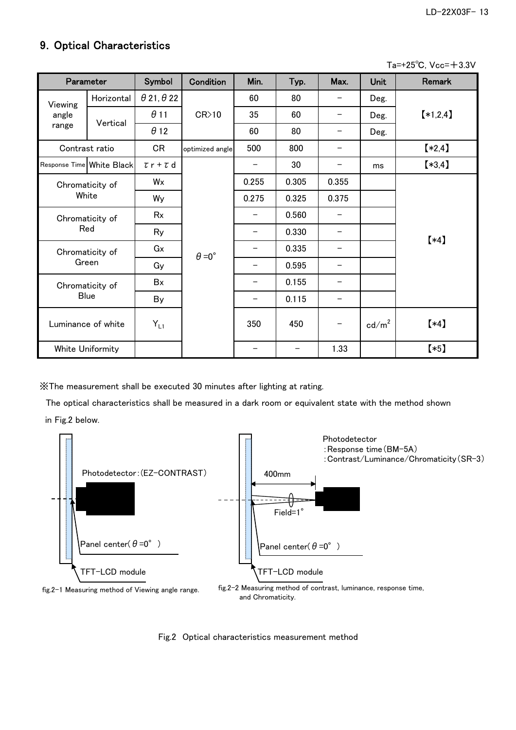## 9.Optical Characteristics

Ta=+25℃, Vcc=+3.3V

|         | Parameter                 | Symbol                   | Condition            | Min.  | Typ.  | Max.                     | <b>Unit</b>       | <b>Remark</b> |
|---------|---------------------------|--------------------------|----------------------|-------|-------|--------------------------|-------------------|---------------|
| Viewing | Horizontal                | $\theta$ 21, $\theta$ 22 |                      | 60    | 80    |                          | Deg.              |               |
| angle   | Vertical                  | $\theta$ 11              | CR>10                | 35    | 60    | -                        | Deg.              | $[*1,2,4]$    |
| range   |                           | $\theta$ 12              |                      | 60    | 80    |                          | Deg.              |               |
|         | Contrast ratio            | <b>CR</b>                | optimized angle      | 500   | 800   |                          |                   | $*2,4]$       |
|         | Response Time White Black | $\tau$ r + $\tau$ d      |                      | —     | 30    | -                        | ms                | $*3,4]$       |
|         | Chromaticity of           | Wx                       |                      | 0.255 | 0.305 | 0.355                    |                   |               |
| White   |                           | Wy                       |                      | 0.275 | 0.325 | 0.375                    |                   |               |
|         | Chromaticity of           | Rx                       |                      | -     | 0.560 | -                        |                   |               |
|         | Red                       | Ry                       |                      |       | 0.330 |                          |                   | $(*4)$        |
|         | Chromaticity of           | Gx                       | $\theta = 0^{\circ}$ |       | 0.335 |                          |                   |               |
|         | Green                     | Gy                       |                      | —     | 0.595 | -                        |                   |               |
|         | Chromaticity of           | Bx                       |                      |       | 0.155 | $\overline{\phantom{0}}$ |                   |               |
|         | <b>Blue</b>               | <b>By</b>                |                      |       | 0.115 |                          |                   |               |
|         | Luminance of white        | $Y_{L1}$                 |                      | 350   | 450   |                          | cd/m <sup>2</sup> | $(*4)$        |
|         | White Uniformity          |                          |                      |       |       | 1.33                     |                   | $*5]$         |

※The measurement shall be executed 30 minutes after lighting at rating.

 The optical characteristics shall be measured in a dark room or equivalent state with the method shown in Fig.2 below.



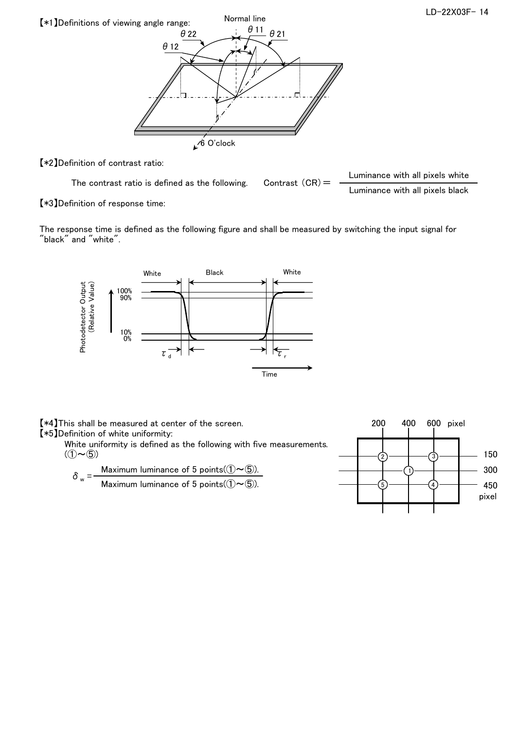

【\*2】Definition of contrast ratio:

The contrast ratio is defined as the following. Contrast  $(CR) =$  Luminance with all pixels white Luminance with all pixels black

【\*3】Definition of response time:

The response time is defined as the following figure and shall be measured by switching the input signal for "black" and "white".



【\*4】This shall be measured at center of the screen. 200 400 600 pixel 【\*5】Definition of white uniformity: White uniformity is defined as the following with five measurements.  $(1 \sim 5)$  150 450 pixel 300  $\left( 2\right)$ 5 1 ์ 3 4  $\delta_w = \frac{\text{Maximum luminance of 5 points}((\text{1}) \sim \textcircled{5})}{\sigma_w}$ . Maximum luminance of 5 points( $(\hat{O} \sim \textcircled{5})$ ).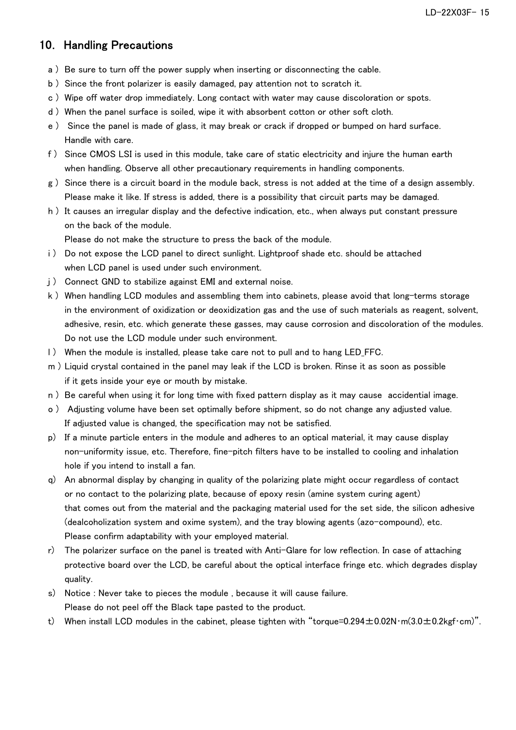## 10. Handling Precautions

- a ) Be sure to turn off the power supply when inserting or disconnecting the cable.
- b ) Since the front polarizer is easily damaged, pay attention not to scratch it.
- c ) Wipe off water drop immediately. Long contact with water may cause discoloration or spots.
- d ) When the panel surface is soiled, wipe it with absorbent cotton or other soft cloth.
- e ) Since the panel is made of glass, it may break or crack if dropped or bumped on hard surface. Handle with care.
- f ) Since CMOS LSI is used in this module, take care of static electricity and injure the human earth when handling. Observe all other precautionary requirements in handling components.
- g ) Since there is a circuit board in the module back, stress is not added at the time of a design assembly. Please make it like. If stress is added, there is a possibility that circuit parts may be damaged.
- h ) It causes an irregular display and the defective indication, etc., when always put constant pressure on the back of the module.

Please do not make the structure to press the back of the module.

- i ) Do not expose the LCD panel to direct sunlight. Lightproof shade etc. should be attached when LCD panel is used under such environment.
- j ) Connect GND to stabilize against EMI and external noise.
- k ) When handling LCD modules and assembling them into cabinets, please avoid that long-terms storage in the environment of oxidization or deoxidization gas and the use of such materials as reagent, solvent, adhesive, resin, etc. which generate these gasses, may cause corrosion and discoloration of the modules. Do not use the LCD module under such environment.
- l ) When the module is installed, please take care not to pull and to hang LED\_FFC.
- m ) Liquid crystal contained in the panel may leak if the LCD is broken. Rinse it as soon as possible if it gets inside your eye or mouth by mistake.
- n ) Be careful when using it for long time with fixed pattern display as it may cause accidential image.
- o ) Adjusting volume have been set optimally before shipment, so do not change any adjusted value. If adjusted value is changed, the specification may not be satisfied.
- p) If a minute particle enters in the module and adheres to an optical material, it may cause display non-uniformity issue, etc. Therefore, fine-pitch filters have to be installed to cooling and inhalation hole if you intend to install a fan.
- q) An abnormal display by changing in quality of the polarizing plate might occur regardless of contact or no contact to the polarizing plate, because of epoxy resin (amine system curing agent) that comes out from the material and the packaging material used for the set side, the silicon adhesive (dealcoholization system and oxime system), and the tray blowing agents (azo-compound), etc. Please confirm adaptability with your employed material.
- r) The polarizer surface on the panel is treated with Anti-Glare for low reflection. In case of attaching protective board over the LCD, be careful about the optical interface fringe etc. which degrades display quality.
- s) Notice : Never take to pieces the module , because it will cause failure. Please do not peel off the Black tape pasted to the product.
- t) When install LCD modules in the cabinet, please tighten with "torque=0.294 $\pm$ 0.02N·m(3.0 $\pm$ 0.2kgf·cm)".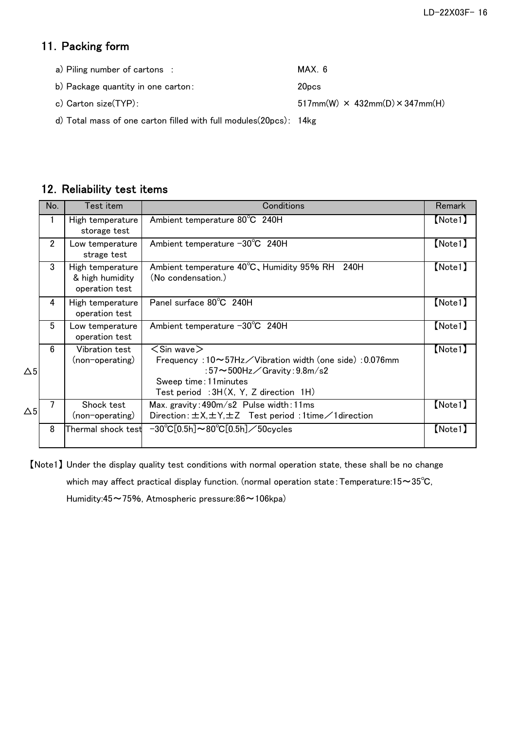## 11. Packing form

| a) Piling number of cartons : | MAX 6 |
|-------------------------------|-------|
| $\cdot$ $\cdot$ $ \cdot$      |       |

b) Package quantity in one carton: 20pcs

c) Carton size(TYP):  $517mm(W) \times 432mm(D) \times 347mm(H)$ 

d) Total mass of one carton filled with full modules(20pcs): 14kg

## 12. Reliability test items

|               | No.            | Test item                                             | Conditions                                                                                                                                                                                                       | <b>Remark</b> |
|---------------|----------------|-------------------------------------------------------|------------------------------------------------------------------------------------------------------------------------------------------------------------------------------------------------------------------|---------------|
|               | 1              | High temperature<br>storage test                      | Ambient temperature 80°C 240H                                                                                                                                                                                    | [Note1]       |
|               | $\overline{2}$ | Low temperature<br>strage test                        | Ambient temperature $-30^{\circ}$ C 240H                                                                                                                                                                         | [Note1]       |
|               | 3              | High temperature<br>& high humidity<br>operation test | Ambient temperature 40°C, Humidity 95% RH 240H<br>(No condensation.)                                                                                                                                             | [Note1]       |
|               | 4              | High temperature<br>operation test                    | Panel surface 80°C 240H                                                                                                                                                                                          | [Note1]       |
|               | 5              | Low temperature<br>operation test                     | Ambient temperature $-30^{\circ}$ C 240H                                                                                                                                                                         | [Note1]       |
| $\Delta 5$    | 6              | Vibration test<br>(non-operating)                     | $<$ Sin wave $>$<br>Frequency: $10 \sim 57$ Hz $\diagup$ Vibration width (one side): 0.076mm<br>:57 $\sim$ 500Hz $\angle$ Gravity:9.8m/s2<br>Sweep time: 11 minutes<br>Test period : $3H(X, Y, Z)$ direction 1H) | [Note1]       |
| $\triangle 5$ |                | Shock test<br>(non-operating)                         | Max. gravity: 490m/s2 Pulse width: 11ms<br>Direction: $\pm$ X, $\pm$ Y, $\pm$ Z Test period: 1time $\angle$ 1 direction                                                                                          | [Note1]       |
|               | 8              | Thermal shock test                                    | $-30^{\circ}$ C[0.5h] $\sim$ 80 $^{\circ}$ C[0.5h] $\angle$ 50cycles                                                                                                                                             | $[$ Note1 $]$ |

【Note1】 Under the display quality test conditions with normal operation state, these shall be no change which may affect practical display function. (normal operation state: Temperature:15~35°C,

Humidity:45~75%, Atmospheric pressure:86~106kpa)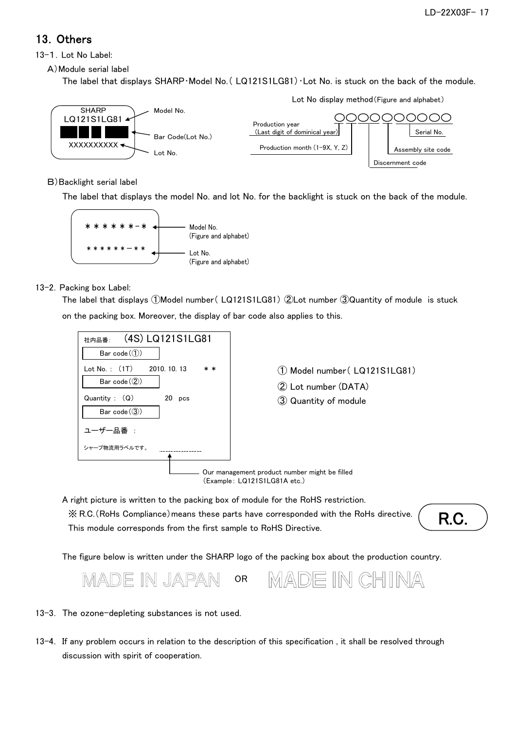## 13.Others

13-1.Lot No Label:

A)Module serial label

The label that displays SHARP · Model No. (LQ121S1LG81) · Lot No. is stuck on the back of the module.



### B)Backlight serial label

The label that displays the model No. and lot No. for the backlight is stuck on the back of the module.



### 13-2. Packing box Label:

on the packing box. Moreover, the display of bar code also applies to this. The label that displays ①Model number( LQ121S1LG81) ②Lot number ③Quantity of module is stuck



A right picture is written to the packing box of module for the RoHS restriction. ※ R.C.(RoHs Compliance)means these parts have corresponded with the RoHs directive. This module corresponds from the first sample to RoHS Directive.

R.C.

The figure below is written under the SHARP logo of the packing box about the production country.



#### 13-3. The ozone-depleting substances is not used.

13-4. If any problem occurs in relation to the description of this specification , it shall be resolved through discussion with spirit of cooperation.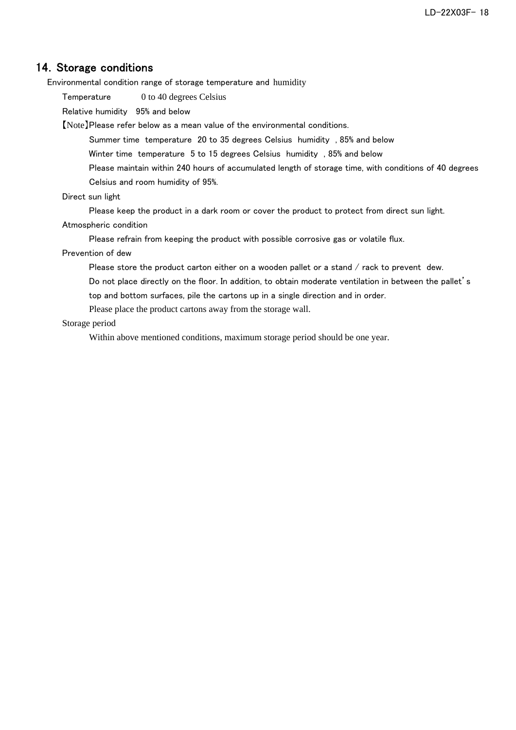### 14. Storage conditions

Environmental condition range of storage temperature and humidity

Temperature 0 to 40 degrees Celsius

Relative humidity 95% and below

【Note】Please refer below as a mean value of the environmental conditions.

Summer time temperature 20 to 35 degrees Celsius humidity , 85% and below

Winter time temperature 5 to 15 degrees Celsius humidity , 85% and below

Please maintain within 240 hours of accumulated length of storage time, with conditions of 40 degrees Celsius and room humidity of 95%.

#### Direct sun light

Please keep the product in a dark room or cover the product to protect from direct sun light.

Atmospheric condition

Please refrain from keeping the product with possible corrosive gas or volatile flux.

Prevention of dew

Please store the product carton either on a wooden pallet or a stand / rack to prevent dew.

Do not place directly on the floor. In addition, to obtain moderate ventilation in between the pallet's top and bottom surfaces, pile the cartons up in a single direction and in order.

Please place the product cartons away from the storage wall.

#### Storage period

Within above mentioned conditions, maximum storage period should be one year.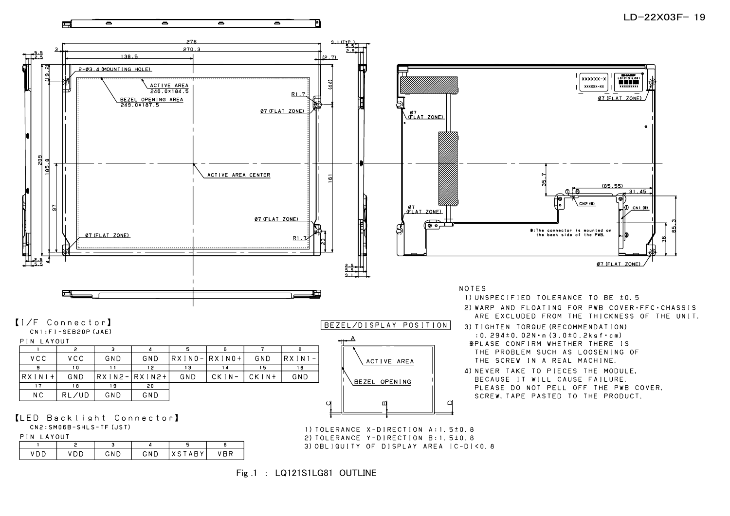

1) TOLERANCE X-DIRECTION A: 1, 5±0, 8 2) TOLERANCE Y-DIRECTION B: 1, 5±0, 8 3) OBLIQUITY OF DISPLAY AREA IC-DI<0.8

PIN LAYOUT

 $\overline{z}$ 

VDD.

 $\overline{\mathbf{3}}$ 

GND

 $\overline{4}$ 

 $GND$ 

 $\overline{\phantom{0}}$ 

**XSTABY** 

 $6$ 

**VBR** 

 $\overline{1}$ 

VDD